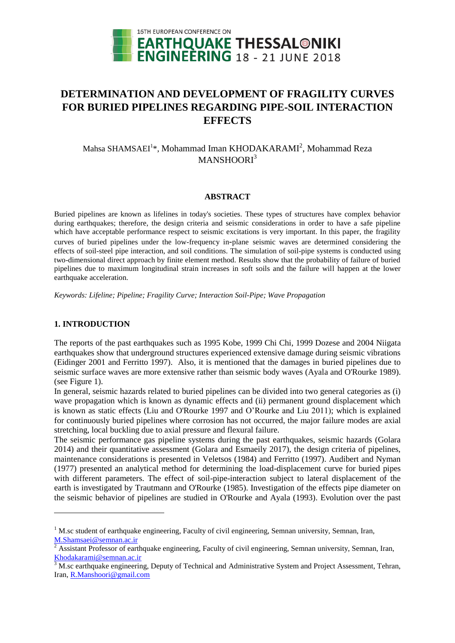

# **DETERMINATION AND DEVELOPMENT OF FRAGILITY CURVES FOR BURIED PIPELINES REGARDING PIPE-SOIL INTERACTION EFFECTS**

# Mahsa SHAMSAEI<sup>1\*</sup>, Mohammad Iman KHODAKARAMI<sup>2</sup>, Mohammad Reza MANSHOORI<sup>3</sup>

## **ABSTRACT**

Buried pipelines are known as lifelines in today's societies. These types of structures have complex behavior during earthquakes; therefore, the design criteria and seismic considerations in order to have a safe pipeline which have acceptable performance respect to seismic excitations is very important. In this paper, the fragility curves of buried pipelines under the low-frequency in-plane seismic waves are determined considering the effects of soil-steel pipe interaction, and soil conditions. The simulation of soil-pipe systems is conducted using two-dimensional direct approach by finite element method. Results show that the probability of failure of buried pipelines due to maximum longitudinal strain increases in soft soils and the failure will happen at the lower earthquake acceleration.

*Keywords: Lifeline; Pipeline; Fragility Curve; Interaction Soil-Pipe; Wave Propagation*

# **1. INTRODUCTION**

l

The reports of the past earthquakes such as 1995 Kobe, 1999 Chi Chi, 1999 Dozese and 2004 Niigata earthquakes show that underground structures experienced extensive damage during seismic vibrations (Eidinger 2001 and Ferritto 1997). Also, it is mentioned that the damages in buried pipelines due to seismic surface waves are more extensive rather than seismic body waves (Ayala and O'Rourke 1989). (see Figure 1).

In general, seismic hazards related to buried pipelines can be divided into two general categories as (i) wave propagation which is known as dynamic effects and (ii) permanent ground displacement which is known as static effects (Liu and O'Rourke 1997 and O'Rourke and Liu 2011); which is explained for continuously buried pipelines where corrosion has not occurred, the major failure modes are axial stretching, local buckling due to axial pressure and flexural failure.

The seismic performance gas pipeline systems during the past earthquakes, seismic hazards (Golara 2014) and their quantitative assessment (Golara and Esmaeily 2017), the design criteria of pipelines, maintenance considerations is presented in Veletsos (1984) and Ferritto (1997). Audibert and Nyman (1977) presented an analytical method for determining the load-displacement curve for buried pipes with different parameters. The effect of soil-pipe-interaction subject to lateral displacement of the earth is investigated by Trautmann and O'Rourke (1985). Investigation of the effects pipe diameter on the seismic behavior of pipelines are studied in O'Rourke and Ayala (1993). Evolution over the past

 $1$  M.sc student of earthquake engineering, Faculty of civil engineering, Semnan university, Semnan, Iran, M.Shamsaei@semnan.ac.ir

<sup>2</sup> Assistant Professor of earthquake engineering, Faculty of civil engineering, Semnan university, Semnan, Iran, Khodakarami@semnan.ac.ir

<sup>3</sup> M.sc earthquake engineering, Deputy of Technical and Administrative System and Project Assessment, Tehran, Iran, R.Manshoori@gmail.com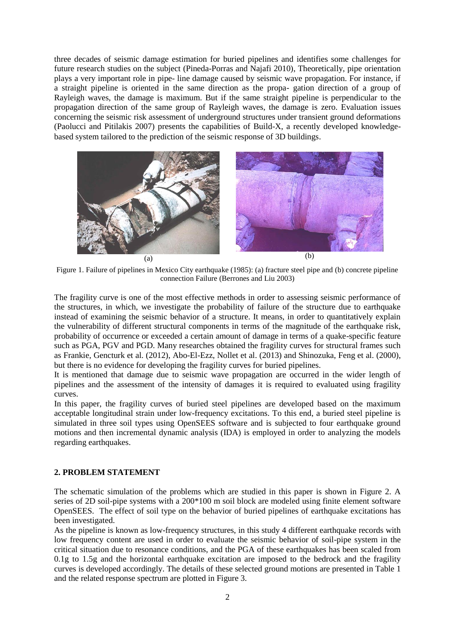three decades of seismic damage estimation for buried pipelines and identifies some challenges for future research studies on the subject (Pineda-Porras and Najafi 2010), Theoretically, pipe orientation plays a very important role in pipe- line damage caused by seismic wave propagation. For instance, if a straight pipeline is oriented in the same direction as the propa- gation direction of a group of Rayleigh waves, the damage is maximum. But if the same straight pipeline is perpendicular to the propagation direction of the same group of Rayleigh waves, the damage is zero. Evaluation issues concerning the seismic risk assessment of underground structures under transient ground deformations (Paolucci and Pitilakis 2007) presents the capabilities of Build-X, a recently developed knowledgebased system tailored to the prediction of the seismic response of 3D buildings.



Figure 1. Failure of pipelines in Mexico City earthquake (1985): (a) fracture steel pipe and (b) concrete pipeline connection Failure (Berrones and Liu 2003)

The fragility curve is one of the most effective methods in order to assessing seismic performance of the structures, in which, we investigate the probability of failure of the structure due to earthquake instead of examining the seismic behavior of a structure. It means, in order to quantitatively explain the vulnerability of different structural components in terms of the magnitude of the earthquake risk, probability of occurrence or exceeded a certain amount of damage in terms of a quake-specific feature such as PGA, PGV and PGD. Many researches obtained the fragility curves for structural frames such as Frankie, Gencturk et al. (2012), Abo-El-Ezz, Nollet et al. (2013) and Shinozuka, Feng et al. (2000), but there is no evidence for developing the fragility curves for buried pipelines.

It is mentioned that damage due to seismic wave propagation are occurred in the wider length of pipelines and the assessment of the intensity of damages it is required to evaluated using fragility curves.

In this paper, the fragility curves of buried steel pipelines are developed based on the maximum acceptable longitudinal strain under low-frequency excitations. To this end, a buried steel pipeline is simulated in three soil types using OpenSEES software and is subjected to four earthquake ground motions and then incremental dynamic analysis (IDA) is employed in order to analyzing the models regarding earthquakes.

# **2. PROBLEM STATEMENT**

The schematic simulation of the problems which are studied in this paper is shown in Figure 2. A series of 2D soil-pipe systems with a 200\*100 m soil block are modeled using finite element software OpenSEES. The effect of soil type on the behavior of buried pipelines of earthquake excitations has been investigated.

As the pipeline is known as low-frequency structures, in this study 4 different earthquake records with low frequency content are used in order to evaluate the seismic behavior of soil-pipe system in the critical situation due to resonance conditions, and the PGA of these earthquakes has been scaled from 0.1g to 1.5g and the horizontal earthquake excitation are imposed to the bedrock and the fragility curves is developed accordingly. The details of these selected ground motions are presented in Table 1 and the related response spectrum are plotted in Figure 3.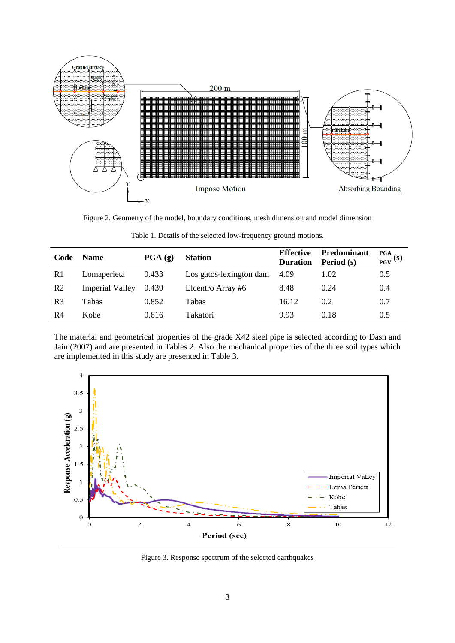

Figure 2. Geometry of the model, boundary conditions, mesh dimension and model dimension

| Code           | <b>Name</b>            | $\overline{PGA}$ (g) | <b>Station</b>          | <b>Effective</b><br><b>Duration</b> | <b>Predominant</b><br>Period (s) | $\frac{PGA}{PGV}(s)$ |
|----------------|------------------------|----------------------|-------------------------|-------------------------------------|----------------------------------|----------------------|
| R <sub>1</sub> | Lomaperieta            | 0.433                | Los gatos-lexington dam | 4.09                                | 1.02                             | 0.5                  |
| R <sub>2</sub> | <b>Imperial Valley</b> | 0.439                | Elcentro Array #6       | 8.48                                | 0.24                             | 0.4                  |
| R <sub>3</sub> | Tabas                  | 0.852                | Tabas                   | 16.12                               | 0.2                              | 0.7                  |
| R <sub>4</sub> | Kobe                   | 0.616                | Takatori                | 9.93                                | 0.18                             | 0.5                  |

| Table 1. Details of the selected low-frequency ground motions. |  |  |
|----------------------------------------------------------------|--|--|
|----------------------------------------------------------------|--|--|

The material and geometrical properties of the grade X42 steel pipe is selected according to Dash and Jain (2007) and are presented in Tables 2. Also the mechanical properties of the three soil types which are implemented in this study are presented in Table 3.



Figure 3. Response spectrum of the selected earthquakes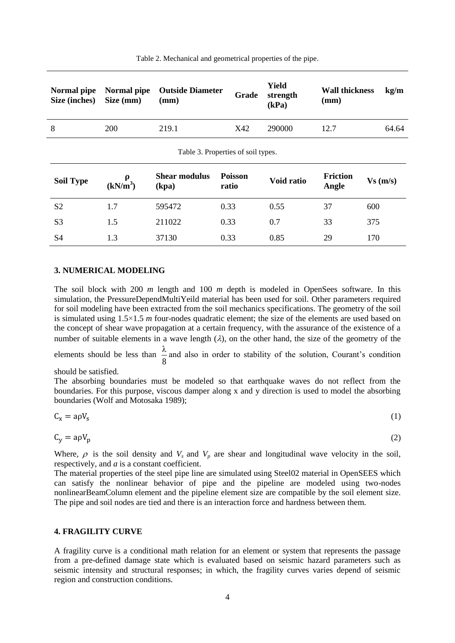| Normal pipe<br>Size (inches)       | <b>Outside Diameter</b><br>Normal pipe<br>Size (mm)<br>(mm) |                               | Grade                   | Yield<br>strength<br>(kPa) | <b>Wall thickness</b><br>(mm) | kg/m    |  |  |  |  |
|------------------------------------|-------------------------------------------------------------|-------------------------------|-------------------------|----------------------------|-------------------------------|---------|--|--|--|--|
| 8                                  | 200                                                         | 219.1                         | X42                     | 290000                     | 12.7                          | 64.64   |  |  |  |  |
| Table 3. Properties of soil types. |                                                             |                               |                         |                            |                               |         |  |  |  |  |
| <b>Soil Type</b>                   | ρ<br>(kN/m <sup>3</sup> )                                   | <b>Shear modulus</b><br>(kpa) | <b>Poisson</b><br>ratio | Void ratio                 | <b>Friction</b><br>Angle      | Vs(m/s) |  |  |  |  |
| S <sub>2</sub>                     | 1.7                                                         | 595472                        | 0.33                    | 0.55                       | 37                            | 600     |  |  |  |  |
| S <sub>3</sub>                     | 1.5                                                         | 211022                        | 0.33                    | 0.7                        | 33                            | 375     |  |  |  |  |
| S4                                 | 1.3                                                         | 37130                         | 0.33                    | 0.85                       | 29                            | 170     |  |  |  |  |

Table 2. Mechanical and geometrical properties of the pipe.

## **3. NUMERICAL MODELING**

The soil block with 200 *m* length and 100 *m* depth is modeled in OpenSees software. In this simulation, the PressureDependMultiYeild material has been used for soil. Other parameters required for soil modeling have been extracted from the soil mechanics specifications. The geometry of the soil is simulated using 1.5×1.5 *m* four-nodes quadratic element; the size of the elements are used based on the concept of shear wave propagation at a certain frequency, with the assurance of the existence of a number of suitable elements in a wave length  $(\lambda)$ , on the other hand, the size of the geometry of the

elements should be less than  $\frac{\pi}{8}$  $\frac{\lambda}{\lambda}$  and also in order to stability of the solution, Courant's condition

should be satisfied.

The absorbing boundaries must be modeled so that earthquake waves do not reflect from the boundaries. For this purpose, viscous damper along x and y direction is used to model the absorbing boundaries (Wolf and Motosaka 1989);

$$
C_x = a\rho V_s \tag{1}
$$

$$
C_{\rm v} = a\rho V_{\rm p} \tag{2}
$$

Where,  $\rho$  is the soil density and  $V_s$  and  $V_p$  are shear and longitudinal wave velocity in the soil, respectively, and *a* is a constant coefficient.

The material properties of the steel pipe line are simulated using Steel02 material in OpenSEES which can satisfy the nonlinear behavior of pipe and the pipeline are modeled using two-nodes nonlinearBeamColumn element and the pipeline element size are compatible by the soil element size. The pipe and soil nodes are tied and there is an interaction force and hardness between them.

#### **4. FRAGILITY CURVE**

A fragility curve is a conditional math relation for an element or system that represents the passage from a pre-defined damage state which is evaluated based on seismic hazard parameters such as seismic intensity and structural responses; in which, the fragility curves varies depend of seismic region and construction conditions.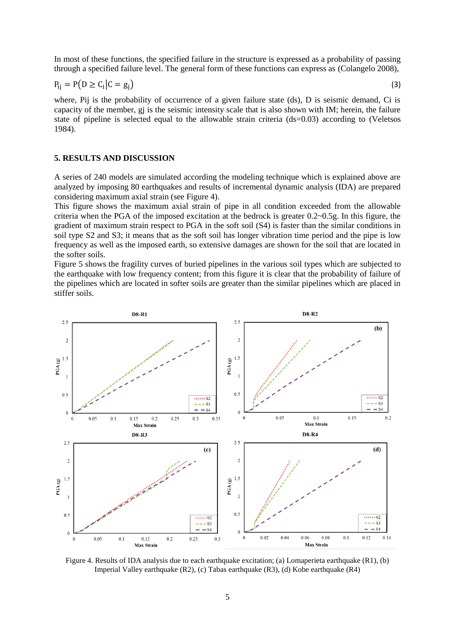In most of these functions, the specified failure in the structure is expressed as a probability of passing through a specified failure level. The general form of these functions can express as (Colangelo 2008),

$$
P_{ij} = P(D \ge C_i | C = g_j)
$$
\n<sup>(3)</sup>

where, Pij is the probability of occurrence of a given failure state (ds), D is seismic demand, Ci is capacity of the member, gj is the seismic intensity scale that is also shown with IM; herein, the failure state of pipeline is selected equal to the allowable strain criteria (ds=0.03) according to (Veletsos 1984).

#### **5. RESULTS AND DISCUSSION**

A series of 240 models are simulated according the modeling technique which is explained above are analyzed by imposing 80 earthquakes and results of incremental dynamic analysis (IDA) are prepared considering maximum axial strain (see Figure 4).

This figure shows the maximum axial strain of pipe in all condition exceeded from the allowable criteria when the PGA of the imposed excitation at the bedrock is greater  $0.2 \sim 0.5g$ . In this figure, the gradient of maximum strain respect to PGA in the soft soil (S4) is faster than the similar conditions in soil type S2 and S3; it means that as the soft soil has longer vibration time period and the pipe is low frequency as well as the imposed earth, so extensive damages are shown for the soil that are located in the softer soils.

Figure 5 shows the fragility curves of buried pipelines in the various soil types which are subjected to the earthquake with low frequency content; from this figure it is clear that the probability of failure of the pipelines which are located in softer soils are greater than the similar pipelines which are placed in stiffer soils.



Figure 4. Results of IDA analysis due to each earthquake excitation; (a) Lomaperieta earthquake (R1), (b) Imperial Valley earthquake (R2), (c) Tabas earthquake (R3), (d) Kobe earthquake (R4)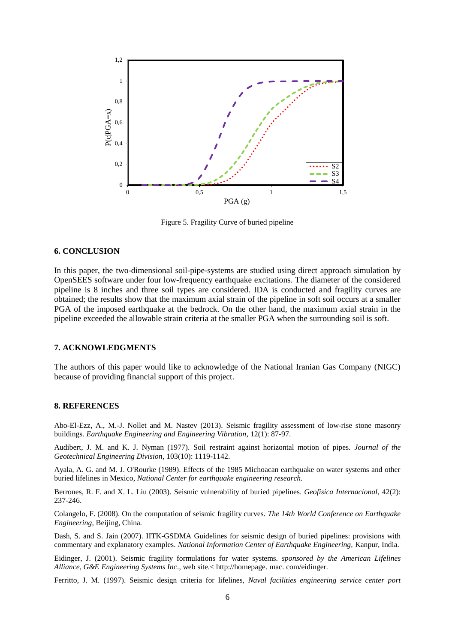

Figure 5. Fragility Curve of buried pipeline

# **6. CONCLUSION**

In this paper, the two-dimensional soil-pipe-systems are studied using direct approach simulation by OpenSEES software under four low-frequency earthquake excitations. The diameter of the considered pipeline is 8 inches and three soil types are considered. IDA is conducted and fragility curves are obtained; the results show that the maximum axial strain of the pipeline in soft soil occurs at a smaller PGA of the imposed earthquake at the bedrock. On the other hand, the maximum axial strain in the pipeline exceeded the allowable strain criteria at the smaller PGA when the surrounding soil is soft.

#### **7. ACKNOWLEDGMENTS**

The authors of this paper would like to acknowledge of the National Iranian Gas Company (NIGC) because of providing financial support of this project.

#### **8. REFERENCES**

Abo-El-Ezz, A., M.-J. Nollet and M. Nastev (2013). Seismic fragility assessment of low-rise stone masonry buildings. *Earthquake Engineering and Engineering Vibration,* 12(1): 87-97.

Audibert, J. M. and K. J. Nyman (1977). Soil restraint against horizontal motion of pipes. *Journal of the Geotechnical Engineering Division,* 103(10): 1119-1142.

Ayala, A. G. and M. J. O'Rourke (1989). Effects of the 1985 Michoacan earthquake on water systems and other buried lifelines in Mexico, *National Center for earthquake engineering research.*

Berrones, R. F. and X. L. Liu (2003). Seismic vulnerability of buried pipelines. *Geofisica Internacional,* 42(2): 237-246.

Colangelo, F. (2008). On the computation of seismic fragility curves. *The 14th World Conference on Earthquake Engineering,* Beijing, China*.*

Dash, S. and S. Jain (2007). IITK-GSDMA Guidelines for seismic design of buried pipelines: provisions with commentary and explanatory examples. *National Information Center of Earthquake Engineering,* Kanpur, India.

Eidinger, J. (2001). Seismic fragility formulations for water systems. *sponsored by the American Lifelines Alliance, G&E Engineering Systems Inc*., web site.< [http://homepage.](http://homepage/) mac. com/eidinger.

Ferritto, J. M. (1997). Seismic design criteria for lifelines, *Naval facilities engineering service center port*